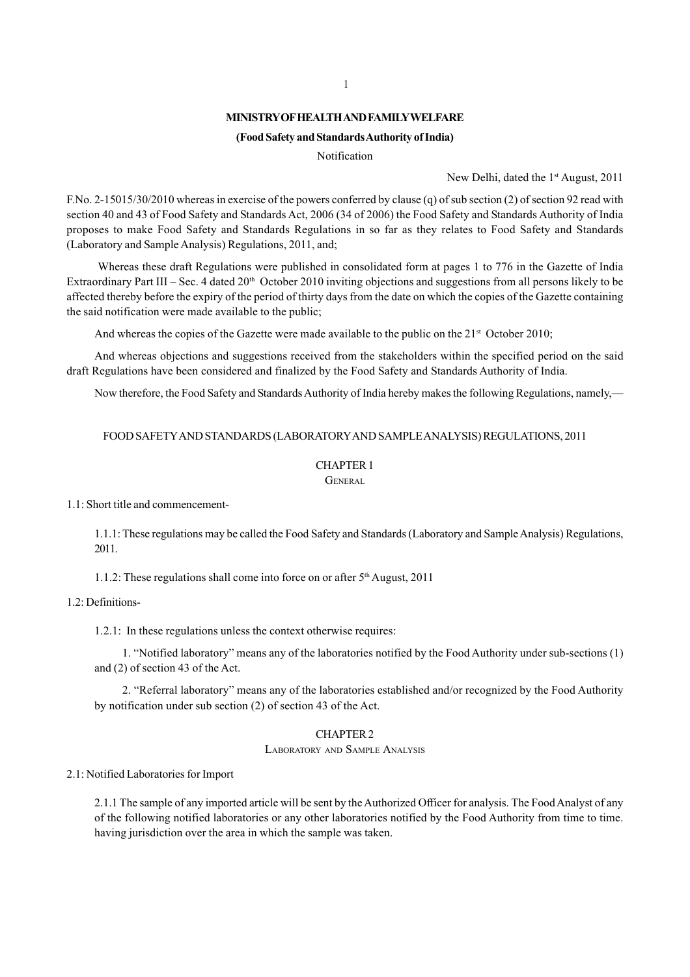## **MINISTRY OF HEALTH AND FAMILY WELFARE**

## **(Food Safety and Standards Authority of India)**

Notification

New Delhi, dated the 1<sup>st</sup> August, 2011

F.No. 2-15015/30/2010 whereas in exercise of the powers conferred by clause (q) of sub section (2) of section 92 read with section 40 and 43 of Food Safety and Standards Act, 2006 (34 of 2006) the Food Safety and Standards Authority of India proposes to make Food Safety and Standards Regulations in so far as they relates to Food Safety and Standards (Laboratory and Sample Analysis) Regulations, 2011, and;

 Whereas these draft Regulations were published in consolidated form at pages 1 to 776 in the Gazette of India Extraordinary Part III – Sec. 4 dated  $20<sup>th</sup>$  October 2010 inviting objections and suggestions from all persons likely to be affected thereby before the expiry of the period of thirty days from the date on which the copies of the Gazette containing the said notification were made available to the public;

And whereas the copies of the Gazette were made available to the public on the  $21<sup>st</sup>$  October 2010;

And whereas objections and suggestions received from the stakeholders within the specified period on the said draft Regulations have been considered and finalized by the Food Safety and Standards Authority of India.

Now therefore, the Food Safety and Standards Authority of India hereby makes the following Regulations, namely,—

## FOOD SAFETY AND STANDARDS (LABORATORY AND SAMPLE ANALYSIS) REGULATIONS, 2011

## CHAPTER 1

GENERAL

### 1.1: Short title and commencement-

1.1.1: These regulations may be called the Food Safety and Standards (Laboratory and Sample Analysis) Regulations, 2011.

1.1.2: These regulations shall come into force on or after 5th August, 2011

## 1.2: Definitions-

1.2.1: In these regulations unless the context otherwise requires:

1. "Notified laboratory" means any of the laboratories notified by the Food Authority under sub-sections (1) and (2) of section 43 of the Act.

2. "Referral laboratory" means any of the laboratories established and/or recognized by the Food Authority by notification under sub section (2) of section 43 of the Act.

# CHAPTER 2

LABORATORY AND SAMPLE ANALYSIS

#### 2.1: Notified Laboratories for Import

2.1.1 The sample of any imported article will be sent by the Authorized Officer for analysis. The Food Analyst of any of the following notified laboratories or any other laboratories notified by the Food Authority from time to time. having jurisdiction over the area in which the sample was taken.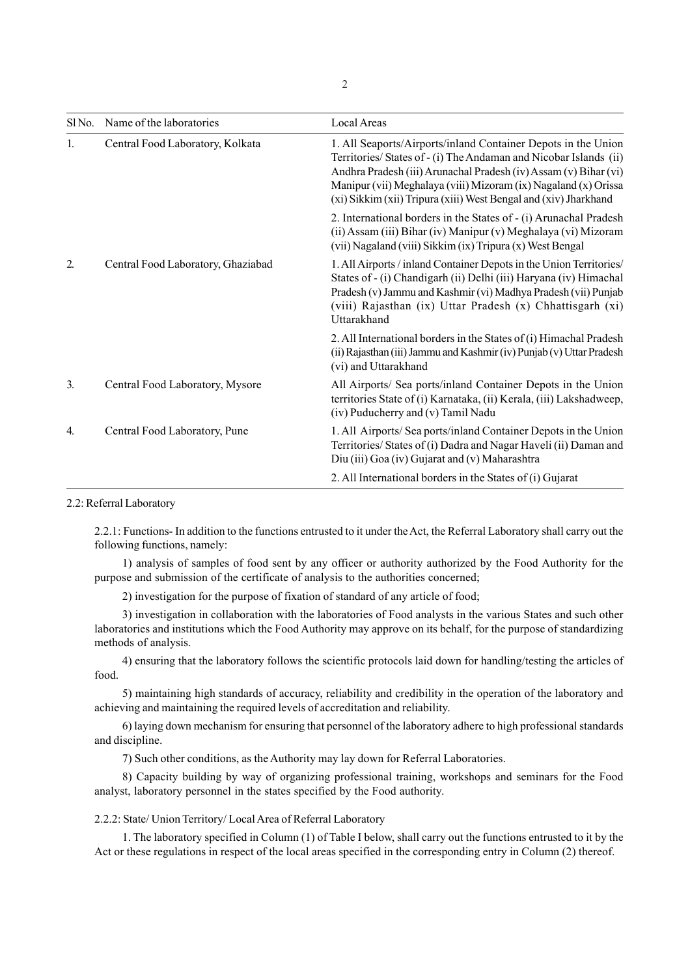|                  | SINo. Name of the laboratories     | Local Areas                                                                                                                                                                                                                                                                                                                                   |
|------------------|------------------------------------|-----------------------------------------------------------------------------------------------------------------------------------------------------------------------------------------------------------------------------------------------------------------------------------------------------------------------------------------------|
| 1.               | Central Food Laboratory, Kolkata   | 1. All Seaports/Airports/inland Container Depots in the Union<br>Territories/ States of - (i) The Andaman and Nicobar Islands (ii)<br>Andhra Pradesh (iii) Arunachal Pradesh (iv) Assam (v) Bihar (vi)<br>Manipur (vii) Meghalaya (viii) Mizoram (ix) Nagaland (x) Orissa<br>(xi) Sikkim (xii) Tripura (xiii) West Bengal and (xiv) Jharkhand |
|                  |                                    | 2. International borders in the States of - (i) Arunachal Pradesh<br>(ii) Assam (iii) Bihar (iv) Manipur (v) Meghalaya (vi) Mizoram<br>(vii) Nagaland (viii) Sikkim (ix) Tripura (x) West Bengal                                                                                                                                              |
| 2.               | Central Food Laboratory, Ghaziabad | 1. All Airports / inland Container Depots in the Union Territories/<br>States of - (i) Chandigarh (ii) Delhi (iii) Haryana (iv) Himachal<br>Pradesh (v) Jammu and Kashmir (vi) Madhya Pradesh (vii) Punjab<br>(viii) Rajasthan (ix) Uttar Pradesh (x) Chhattisgarh (xi)<br>Uttarakhand                                                        |
|                  |                                    | 2. All International borders in the States of (i) Himachal Pradesh<br>(ii) Rajasthan (iii) Jammu and Kashmir (iv) Punjab (v) Uttar Pradesh<br>(vi) and Uttarakhand                                                                                                                                                                            |
| 3.               | Central Food Laboratory, Mysore    | All Airports/ Sea ports/inland Container Depots in the Union<br>territories State of (i) Karnataka, (ii) Kerala, (iii) Lakshadweep,<br>(iv) Puducherry and (v) Tamil Nadu                                                                                                                                                                     |
| $\overline{4}$ . | Central Food Laboratory, Pune      | 1. All Airports/Sea ports/inland Container Depots in the Union<br>Territories/ States of (i) Dadra and Nagar Haveli (ii) Daman and<br>Diu (iii) Goa (iv) Gujarat and (v) Maharashtra                                                                                                                                                          |
|                  |                                    | 2. All International borders in the States of (i) Gujarat                                                                                                                                                                                                                                                                                     |

2.2: Referral Laboratory

2.2.1: Functions- In addition to the functions entrusted to it under the Act, the Referral Laboratory shall carry out the following functions, namely:

1) analysis of samples of food sent by any officer or authority authorized by the Food Authority for the purpose and submission of the certificate of analysis to the authorities concerned;

2) investigation for the purpose of fixation of standard of any article of food;

3) investigation in collaboration with the laboratories of Food analysts in the various States and such other laboratories and institutions which the Food Authority may approve on its behalf, for the purpose of standardizing methods of analysis.

4) ensuring that the laboratory follows the scientific protocols laid down for handling/testing the articles of food.

5) maintaining high standards of accuracy, reliability and credibility in the operation of the laboratory and achieving and maintaining the required levels of accreditation and reliability.

6) laying down mechanism for ensuring that personnel of the laboratory adhere to high professional standards and discipline.

7) Such other conditions, as the Authority may lay down for Referral Laboratories.

8) Capacity building by way of organizing professional training, workshops and seminars for the Food analyst, laboratory personnel in the states specified by the Food authority.

2.2.2: State/ Union Territory/ Local Area of Referral Laboratory

1. The laboratory specified in Column (1) of Table I below, shall carry out the functions entrusted to it by the Act or these regulations in respect of the local areas specified in the corresponding entry in Column (2) thereof.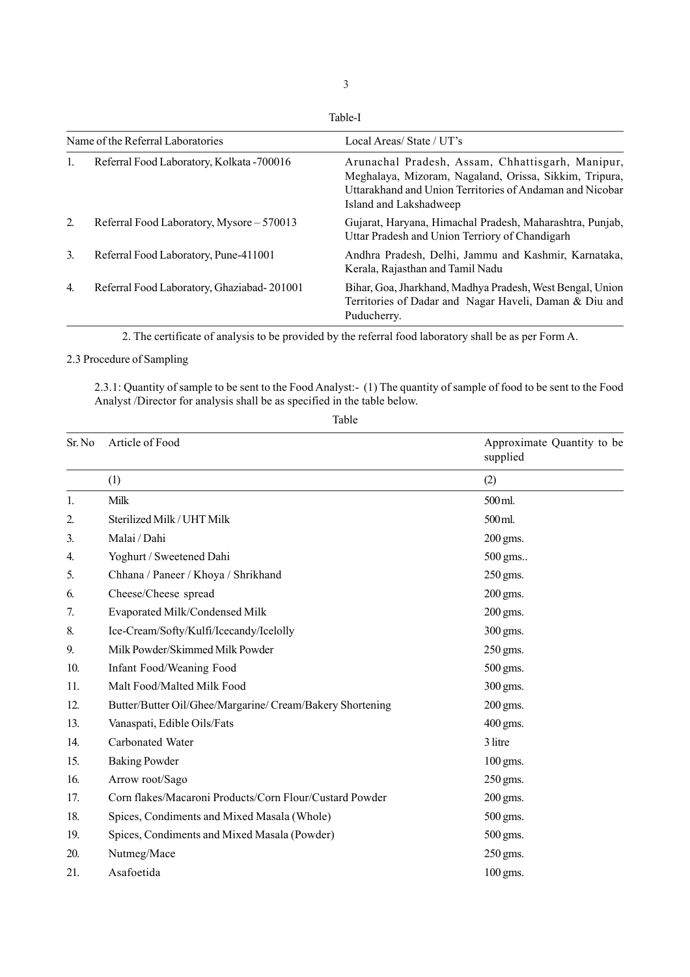Table-I

| Name of the Referral Laboratories |                                            | Local Areas/State/UT's                                                                                                                                                                           |  |
|-----------------------------------|--------------------------------------------|--------------------------------------------------------------------------------------------------------------------------------------------------------------------------------------------------|--|
|                                   | Referral Food Laboratory, Kolkata - 700016 | Arunachal Pradesh, Assam, Chhattisgarh, Manipur,<br>Meghalaya, Mizoram, Nagaland, Orissa, Sikkim, Tripura,<br>Uttarakhand and Union Territories of Andaman and Nicobar<br>Island and Lakshadweep |  |
| 2.                                | Referral Food Laboratory, Mysore – 570013  | Gujarat, Haryana, Himachal Pradesh, Maharashtra, Punjab,<br>Uttar Pradesh and Union Terriory of Chandigarh                                                                                       |  |
| 3.                                | Referral Food Laboratory, Pune-411001      | Andhra Pradesh, Delhi, Jammu and Kashmir, Karnataka,<br>Kerala, Rajasthan and Tamil Nadu                                                                                                         |  |
| $\overline{4}$ .                  | Referral Food Laboratory, Ghaziabad-201001 | Bihar, Goa, Jharkhand, Madhya Pradesh, West Bengal, Union<br>Territories of Dadar and Nagar Haveli, Daman & Diu and<br>Puducherry.                                                               |  |

2. The certificate of analysis to be provided by the referral food laboratory shall be as per Form A.

# 2.3 Procedure of Sampling

2.3.1: Quantity of sample to be sent to the Food Analyst:- (1) The quantity of sample of food to be sent to the Food Analyst /Director for analysis shall be as specified in the table below.

| Sr. No | Article of Food                                           | Approximate Quantity to be<br>supplied |
|--------|-----------------------------------------------------------|----------------------------------------|
|        | (1)                                                       | (2)                                    |
| 1.     | Milk                                                      | 500 ml.                                |
| 2.     | Sterilized Milk / UHT Milk                                | 500 ml.                                |
| 3.     | Malai / Dahi                                              | $200$ gms.                             |
| 4.     | Yoghurt / Sweetened Dahi                                  | 500 gms                                |
| 5.     | Chhana / Paneer / Khoya / Shrikhand                       | 250 gms.                               |
| 6.     | Cheese/Cheese spread                                      | $200$ gms.                             |
| 7.     | Evaporated Milk/Condensed Milk                            | $200$ gms.                             |
| 8.     | Ice-Cream/Softy/Kulfi/Icecandy/Icelolly                   | 300 gms.                               |
| 9.     | Milk Powder/Skimmed Milk Powder                           | 250 gms.                               |
| 10.    | Infant Food/Weaning Food                                  | 500 gms.                               |
| 11.    | Malt Food/Malted Milk Food                                | 300 gms.                               |
| 12.    | Butter/Butter Oil/Ghee/Margarine/ Cream/Bakery Shortening | 200 gms.                               |
| 13.    | Vanaspati, Edible Oils/Fats                               | 400 gms.                               |
| 14.    | Carbonated Water                                          | 3 litre                                |
| 15.    | <b>Baking Powder</b>                                      | $100$ gms.                             |
| 16.    | Arrow root/Sago                                           | 250 gms.                               |
| 17.    | Corn flakes/Macaroni Products/Corn Flour/Custard Powder   | 200 gms.                               |
| 18.    | Spices, Condiments and Mixed Masala (Whole)               | 500 gms.                               |
| 19.    | Spices, Condiments and Mixed Masala (Powder)              | 500 gms.                               |
| 20.    | Nutmeg/Mace                                               | 250 gms.                               |
| 21.    | Asafoetida                                                | 100 gms.                               |

Table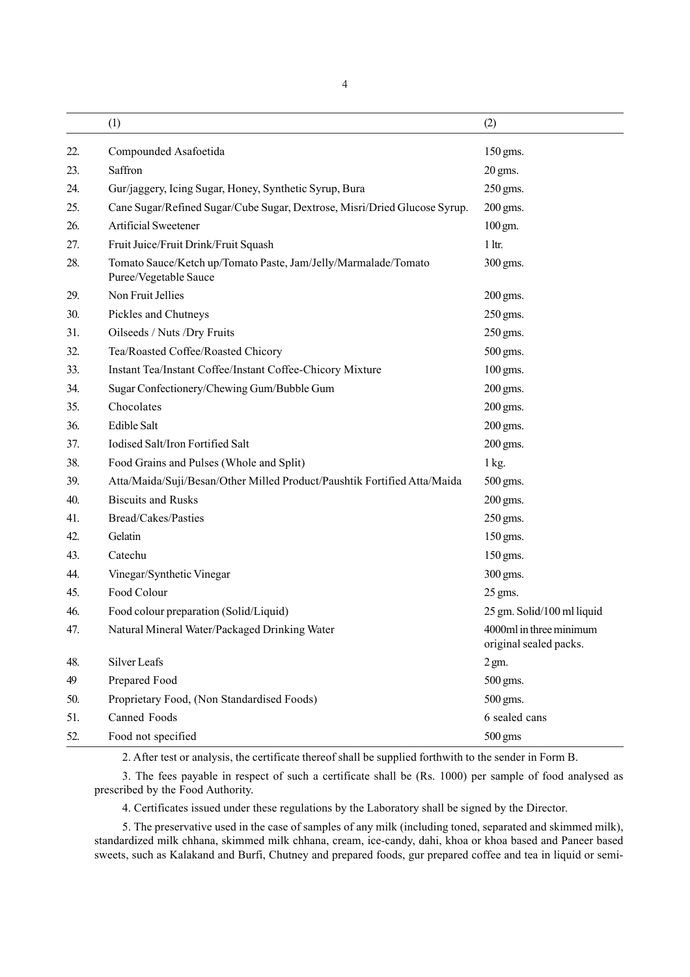4

|     | (1)                                                                                     | (2)                                               |
|-----|-----------------------------------------------------------------------------------------|---------------------------------------------------|
| 22. | Compounded Asafoetida                                                                   | 150 gms.                                          |
| 23. | Saffron                                                                                 | 20 gms.                                           |
| 24. | Gur/jaggery, Icing Sugar, Honey, Synthetic Syrup, Bura                                  | 250 gms.                                          |
| 25. | Cane Sugar/Refined Sugar/Cube Sugar, Dextrose, Misri/Dried Glucose Syrup.               | 200 gms.                                          |
| 26. | Artificial Sweetener                                                                    | $100$ gm.                                         |
| 27. | Fruit Juice/Fruit Drink/Fruit Squash                                                    | $1$ ltr.                                          |
| 28. | Tomato Sauce/Ketch up/Tomato Paste, Jam/Jelly/Marmalade/Tomato<br>Puree/Vegetable Sauce | 300 gms.                                          |
| 29. | Non Fruit Jellies                                                                       | 200 gms.                                          |
| 30. | Pickles and Chutneys                                                                    | 250 gms.                                          |
| 31. | Oilseeds / Nuts /Dry Fruits                                                             | 250 gms.                                          |
| 32. | Tea/Roasted Coffee/Roasted Chicory                                                      | 500 gms.                                          |
| 33. | Instant Tea/Instant Coffee/Instant Coffee-Chicory Mixture                               | 100 gms.                                          |
| 34. | Sugar Confectionery/Chewing Gum/Bubble Gum                                              | 200 gms.                                          |
| 35. | Chocolates                                                                              | 200 gms.                                          |
| 36. | Edible Salt                                                                             | 200 gms.                                          |
| 37. | Iodised Salt/Iron Fortified Salt                                                        | 200 gms.                                          |
| 38. | Food Grains and Pulses (Whole and Split)                                                | 1 kg.                                             |
| 39. | Atta/Maida/Suji/Besan/Other Milled Product/Paushtik Fortified Atta/Maida                | 500 gms.                                          |
| 40. | <b>Biscuits and Rusks</b>                                                               | 200 gms.                                          |
| 41. | Bread/Cakes/Pasties                                                                     | 250 gms.                                          |
| 42. | Gelatin                                                                                 | 150 gms.                                          |
| 43. | Catechu                                                                                 | 150 gms.                                          |
| 44. | Vinegar/Synthetic Vinegar                                                               | 300 gms.                                          |
| 45. | Food Colour                                                                             | 25 gms.                                           |
| 46. | Food colour preparation (Solid/Liquid)                                                  | 25 gm. Solid/100 ml liquid                        |
| 47. | Natural Mineral Water/Packaged Drinking Water                                           | 4000ml in three minimum<br>original sealed packs. |
| 48. | Silver Leafs                                                                            | $2 \text{ gm.}$                                   |
| 49  | Prepared Food                                                                           | 500 gms.                                          |
| 50. | Proprietary Food, (Non Standardised Foods)                                              | 500 gms.                                          |
| 51. | Canned Foods                                                                            | 6 sealed cans                                     |
| 52. | Food not specified                                                                      | $500$ gms                                         |

2. After test or analysis, the certificate thereof shall be supplied forthwith to the sender in Form B.

3. The fees payable in respect of such a certificate shall be (Rs. 1000) per sample of food analysed as prescribed by the Food Authority.

4. Certificates issued under these regulations by the Laboratory shall be signed by the Director.

5. The preservative used in the case of samples of any milk (including toned, separated and skimmed milk), standardized milk chhana, skimmed milk chhana, cream, ice-candy, dahi, khoa or khoa based and Paneer based sweets, such as Kalakand and Burfi, Chutney and prepared foods, gur prepared coffee and tea in liquid or semi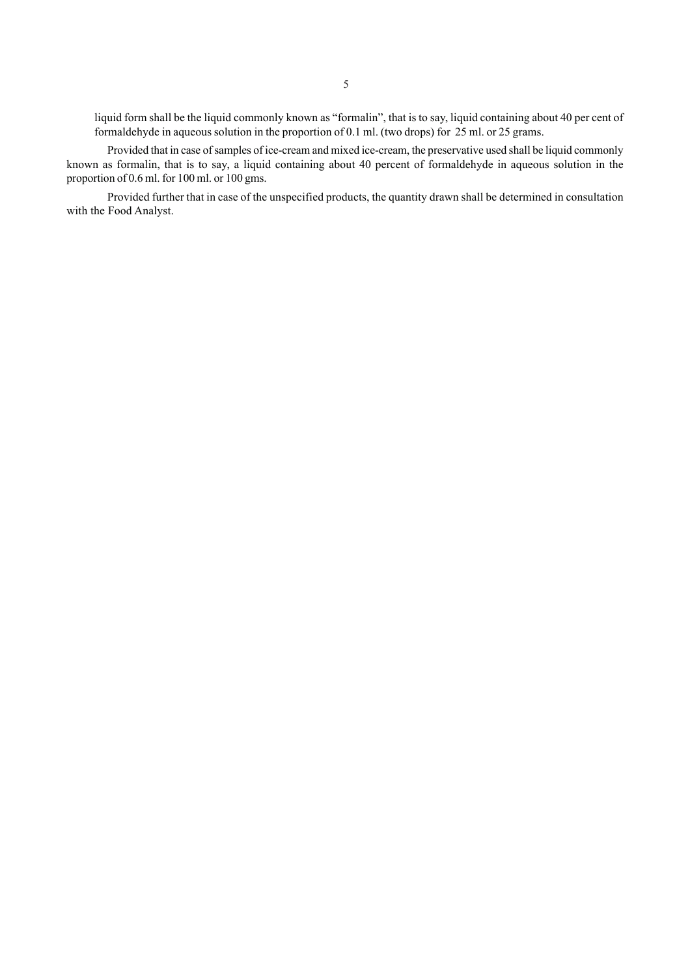liquid form shall be the liquid commonly known as "formalin", that is to say, liquid containing about 40 per cent of formaldehyde in aqueous solution in the proportion of 0.1 ml. (two drops) for 25 ml. or 25 grams.

Provided that in case of samples of ice-cream and mixed ice-cream, the preservative used shall be liquid commonly known as formalin, that is to say, a liquid containing about 40 percent of formaldehyde in aqueous solution in the proportion of 0.6 ml. for 100 ml. or 100 gms.

Provided further that in case of the unspecified products, the quantity drawn shall be determined in consultation with the Food Analyst.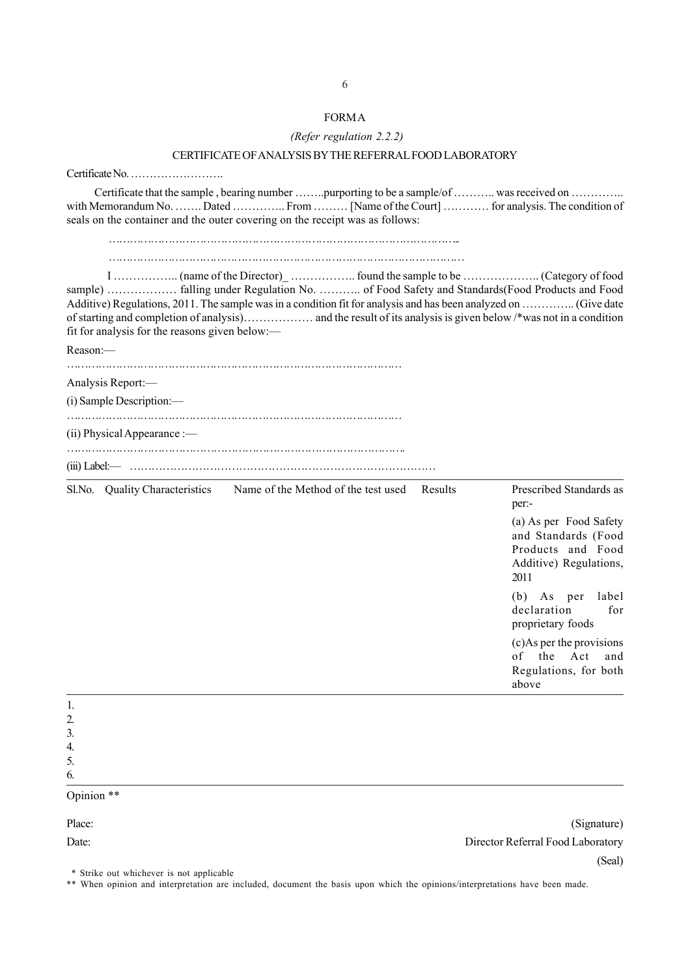| CERTIFICATE OF ANALYSIS BY THE REFERRAL FOOD LABORATORY                                                                                                                                                                                                            |                                                                                              |
|--------------------------------------------------------------------------------------------------------------------------------------------------------------------------------------------------------------------------------------------------------------------|----------------------------------------------------------------------------------------------|
|                                                                                                                                                                                                                                                                    |                                                                                              |
| Certificate that the sample, bearing number purporting to be a sample/of  was received on<br>with Memorandum No.  Dated  From  [Name of the Court]  for analysis. The condition of<br>seals on the container and the outer covering on the receipt was as follows: |                                                                                              |
| Additive) Regulations, 2011. The sample was in a condition fit for analysis and has been analyzed on  (Give date<br>fit for analysis for the reasons given below:—                                                                                                 |                                                                                              |
| Reason:-                                                                                                                                                                                                                                                           |                                                                                              |
|                                                                                                                                                                                                                                                                    |                                                                                              |
| Analysis Report:—<br>$(i)$ Sample Description:—                                                                                                                                                                                                                    |                                                                                              |
|                                                                                                                                                                                                                                                                    |                                                                                              |
| $(i)$ Physical Appearance :—                                                                                                                                                                                                                                       |                                                                                              |
|                                                                                                                                                                                                                                                                    |                                                                                              |
| Sl.No. Quality Characteristics Name of the Method of the test used Results                                                                                                                                                                                         | Prescribed Standards as<br>per:-                                                             |
|                                                                                                                                                                                                                                                                    | (a) As per Food Safety<br>and Standards (Food<br>Products and Food<br>Additive) Regulations, |

|          | above |
|----------|-------|
|          |       |
|          |       |
| c<br>J., |       |
|          |       |
| ◡        |       |
|          |       |

## Opinion \*\*

Place: (Signature) (Signature) (Signature) (Signature) (Signature) (Signature) (Signature) (Signature) (Signature) (Signature) (Signature) (Signature) (Signature) (Signature) (Signature) (Signature) (Signature) (Signature) Date: Director Referral Food Laboratory (Seal)

2011

(b) As per label declaration for proprietary foods (c)As per the provisions of the Act and Regulations, for both

\* Strike out whichever is not applicable

\*\* When opinion and interpretation are included, document the basis upon which the opinions/interpretations have been made.

# FORM A  *(Refer regulation 2.2.2)*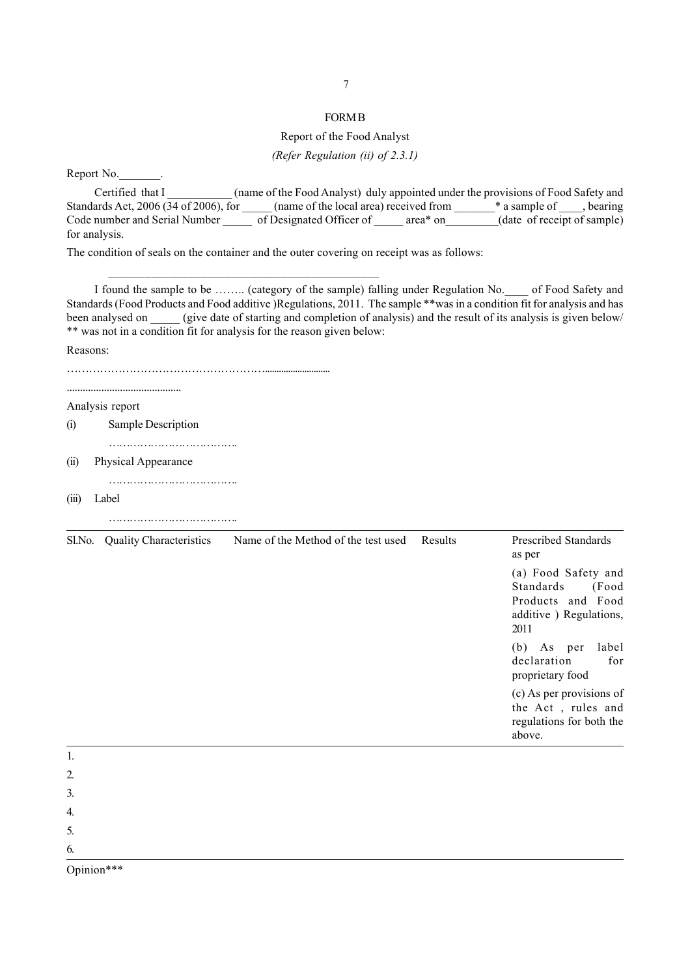## FORM B

## Report of the Food Analyst

*(Refer Regulation (ii) of 2.3.1)*

Report No.

Certified that I channels (name of the Food Analyst) duly appointed under the provisions of Food Safety and Standards Act, 2006 (34 of 2006), for \_\_\_\_\_ (name of the local area) received from \_\_\_\_\_\_\_\_\* a sample of \_\_\_\_, bearing Code number and Serial Number of Designated Officer of \_\_\_\_\_ area\* on \_\_\_\_\_\_(date of receipt of sample) for analysis.

The condition of seals on the container and the outer covering on receipt was as follows:

\_\_\_\_\_\_\_\_\_\_\_\_\_\_\_\_\_\_\_\_\_\_\_\_\_\_\_\_\_\_\_\_\_\_\_\_\_\_\_\_\_\_\_\_

I found the sample to be …….. (category of the sample) falling under Regulation No.\_\_\_\_ of Food Safety and Standards (Food Products and Food additive )Regulations, 2011. The sample \*\*was in a condition fit for analysis and has been analysed on (give date of starting and completion of analysis) and the result of its analysis is given below/ \*\* was not in a condition fit for analysis for the reason given below:

Reasons:

………………………………………………............................ ........................................... Analysis report (i) Sample Description ………………………………. (ii) Physical Appearance ……………………………….

(iii) Label

………………………………. Sl.No. Quality Characteristics Name of the Method of the test used Results Prescribed Standards as per (a) Food Safety and Standards (Food Products and Food additive ) Regulations, 2011 (b) As per label declaration for proprietary food (c) As per provisions of the Act , rules and regulations for both the above. 1. 2.

3.

4.

5.

6.

Opinion\*\*\*